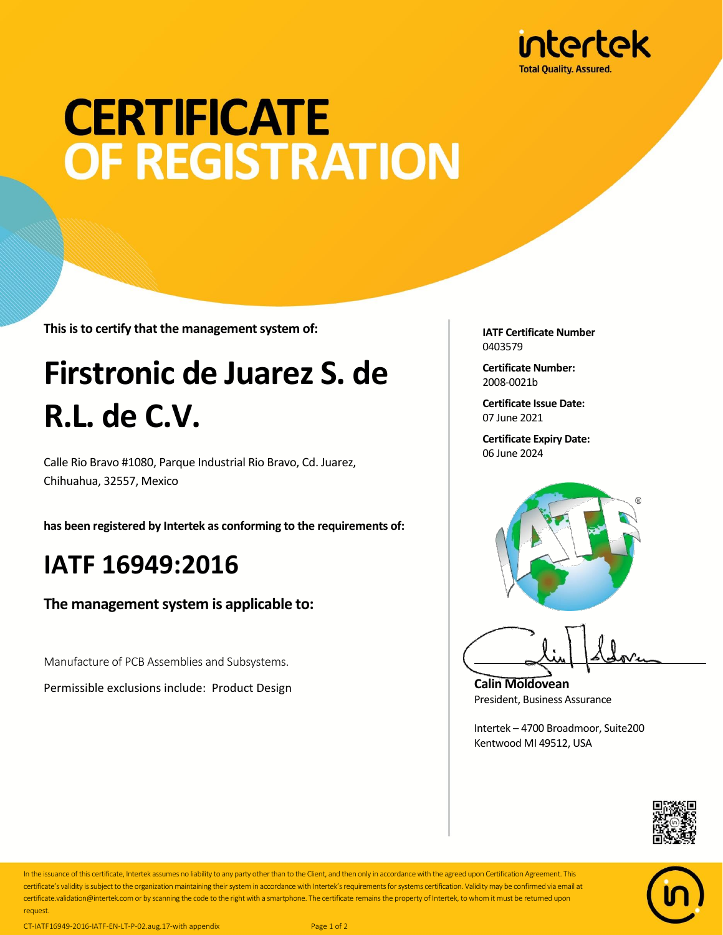

# **CERTIFICATE OF REGISTRATION**

**This is to certify that the management system of:**

## **Firstronic de Juarez S. de R.L. de C.V.**

Calle Rio Bravo #1080, Parque Industrial Rio Bravo, Cd. Juarez, Chihuahua, 32557, Mexico

**has been registered by Intertek as conforming to the requirements of:**

#### **IATF 16949:2016**

**The management system is applicable to:**

Manufacture of PCB Assemblies and Subsystems.

Permissible exclusions include: Product Design

**IATF Certificate Number** 0403579

**Certificate Number:** 2008-0021b

**Certificate Issue Date:** 07 June 2021

**Certificate Expiry Date:** 06 June 2024



**Calin Moldovean** President, Business Assurance

Intertek – 4700 Broadmoor, Suite200 Kentwood MI 49512, USA





In the issuance of this certificate, Intertek assumes no liability to any party other than to the Client, and then only in accordance with the agreed upon Certification Agreement. This certificate's validity is subject to the organization maintaining their system in accordance with Intertek's requirements for systems certification. Validity may be confirmed via email at certificate.validation@intertek.com or by scanning the code to the right with a smartphone. The certificate remains the property of Intertek, to whom it must be returned upon request.